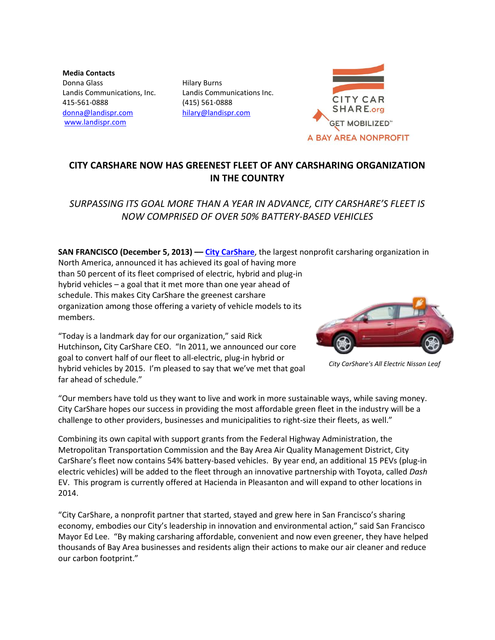**Media Contacts** Donna Glass Landis Communications, Inc. 415-561-0888 [donna@landispr.com](mailto:donna@landispr.com) [www.landispr.com](http://www.landispr.com/)

Hilary Burns Landis Communications Inc. (415) 561-0888 [hilary@landispr.com](mailto:hilary@landispr.com)



## **CITY CARSHARE NOW HAS GREENEST FLEET OF ANY CARSHARING ORGANIZATION IN THE COUNTRY**

*SURPASSING ITS GOAL MORE THAN A YEAR IN ADVANCE, CITY CARSHARE'S FLEET IS NOW COMPRISED OF OVER 50% BATTERY-BASED VEHICLES* 

**SAN FRANCISCO (December 5, 2013) –– [City CarShare](https://www.citycarshare.org/)**, the largest nonprofit carsharing organization in North America, announced it has achieved its goal of having more than 50 percent of its fleet comprised of electric, hybrid and plug-in hybrid vehicles – a goal that it met more than one year ahead of schedule. This makes City CarShare the greenest carshare organization among those offering a variety of vehicle models to its members.



*City CarShare's All Electric Nissan Leaf*

"Today is a landmark day for our organization," said Rick Hutchinson**,** City CarShare CEO. "In 2011, we announced our core goal to convert half of our fleet to all-electric, plug-in hybrid or hybrid vehicles by 2015. I'm pleased to say that we've met that goal far ahead of schedule."

"Our members have told us they want to live and work in more sustainable ways, while saving money. City CarShare hopes our success in providing the most affordable green fleet in the industry will be a challenge to other providers, businesses and municipalities to right-size their fleets, as well."

Combining its own capital with support grants from the Federal Highway Administration, the Metropolitan Transportation Commission and the Bay Area Air Quality Management District, City CarShare's fleet now contains 54% battery-based vehicles. By year end, an additional 15 PEVs (plug-in electric vehicles) will be added to the fleet through an innovative partnership with Toyota, called *Dash* EV. This program is currently offered at Hacienda in Pleasanton and will expand to other locations in 2014.

"City CarShare, a nonprofit partner that started, stayed and grew here in San Francisco's sharing economy, embodies our City's leadership in innovation and environmental action," said San Francisco Mayor Ed Lee. "By making carsharing affordable, convenient and now even greener, they have helped thousands of Bay Area businesses and residents align their actions to make our air cleaner and reduce our carbon footprint."